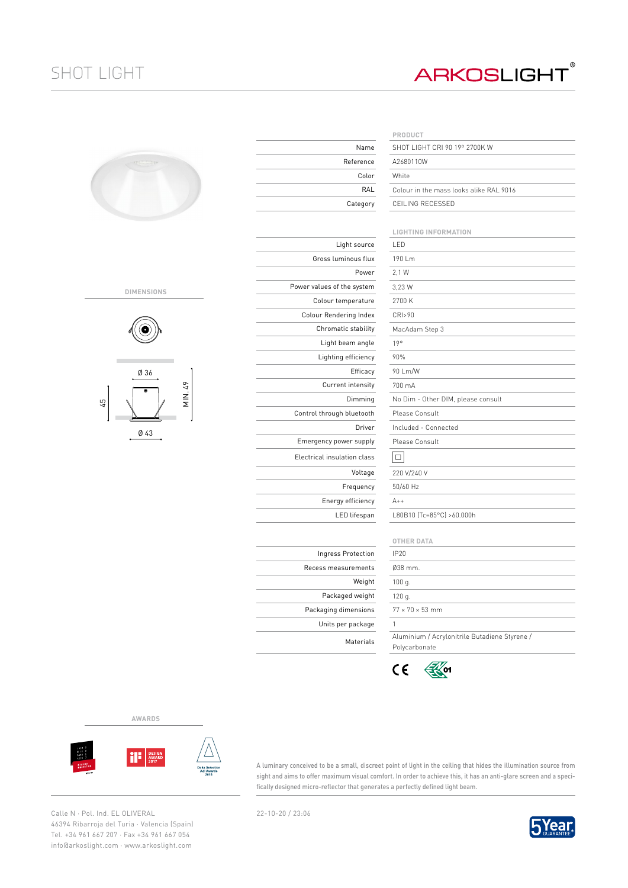## SHOT LIGHT

## **ARKOSLIGHT®**

| <b>CONTRACTOR</b> |  |
|-------------------|--|
|                   |  |

## **DIMENSIONS**



Ø 43

|                             | PRODUCT                     |
|-----------------------------|-----------------------------|
| Name                        | SHOT LIGHT CRI              |
| Reference                   | A2680110W                   |
| Color                       | White                       |
| RAL                         | Colour in the ma            |
| Category                    | CEILING RECESS              |
|                             |                             |
|                             | LIGHTING INFOI              |
| Light source                | LED                         |
| Gross luminous flux         | 190 Lm                      |
| Power                       | 2.1 W                       |
| Power values of the system  | 3,23 W                      |
| Colour temperature          | 2700 K                      |
| Colour Rendering Index      | CRI>90                      |
| Chromatic stability         | MacAdam Step 3              |
| Light beam angle            | 19°                         |
| Lighting efficiency         | 90%                         |
| Efficacy                    | 90 Lm/W                     |
| Current intensity           | 700 mA                      |
| Dimming                     | No Dim - Other I            |
| Control through bluetooth   | Please Consult              |
| Driver                      | Included - Conne            |
| Emergency power supply      | Please Consult              |
| Electrical insulation class | $\Box$                      |
| Voltage                     | 220 V/240 V                 |
| Frequency                   | 50/60 Hz                    |
| Energy efficiency           | $A++$                       |
| LED lifespan                | L80B10 (Tc=85°C             |
|                             |                             |
|                             | <b>OTHER DATA</b>           |
| Ingress Protection          | <b>IP20</b>                 |
| Recess measurements         | Ø38 mm.                     |
| Weight                      | 100q.                       |
| Packaged weight             | 120 g.                      |
| Packaging dimensions        | $77 \times 70 \times 53$ mm |

Units per package

|           | PRODUCT                                 |
|-----------|-----------------------------------------|
| Name      | SHOT LIGHT CRL90 19º 2700K W            |
| 'eference | A2680110W                               |
| Color     | White                                   |
| RAL       | Colour in the mass looks alike RAL 9016 |
| Category  | CEILING RECESSED                        |
|           |                                         |

|                | <b>LIGHTING INFORMATION</b>                                    |  |  |  |  |  |  |  |
|----------------|----------------------------------------------------------------|--|--|--|--|--|--|--|
| Light source   | LED                                                            |  |  |  |  |  |  |  |
| uminous flux   | 190 Lm                                                         |  |  |  |  |  |  |  |
| Power          | 2,1 W                                                          |  |  |  |  |  |  |  |
| of the system  | 3.23 W                                                         |  |  |  |  |  |  |  |
| temperature    | 2700 K                                                         |  |  |  |  |  |  |  |
| dering Index   | CRI>90                                                         |  |  |  |  |  |  |  |
| atic stability | MacAdam Step 3                                                 |  |  |  |  |  |  |  |
| t beam angle   | 19°                                                            |  |  |  |  |  |  |  |
| ing efficiency | 90%                                                            |  |  |  |  |  |  |  |
| Efficacy       | 90 Lm/W                                                        |  |  |  |  |  |  |  |
| rent intensity | 700 mA                                                         |  |  |  |  |  |  |  |
| Dimming        | No Dim - Other DIM, please consult                             |  |  |  |  |  |  |  |
| gh bluetooth   | Please Consult                                                 |  |  |  |  |  |  |  |
| Driver         | Included - Connected                                           |  |  |  |  |  |  |  |
| power supply   | Please Consult                                                 |  |  |  |  |  |  |  |
| ulation class  | □                                                              |  |  |  |  |  |  |  |
| Voltage        | 220 V/240 V                                                    |  |  |  |  |  |  |  |
| Frequency      | 50/60 Hz                                                       |  |  |  |  |  |  |  |
| rgy efficiency | $A++$                                                          |  |  |  |  |  |  |  |
| LED lifespan   | L80B10 (Tc=85°C) >60.000h                                      |  |  |  |  |  |  |  |
|                |                                                                |  |  |  |  |  |  |  |
|                | <b>OTHER DATA</b>                                              |  |  |  |  |  |  |  |
| ss Protection  | IP20                                                           |  |  |  |  |  |  |  |
| easurements    | Ø38 mm.                                                        |  |  |  |  |  |  |  |
| Weight         | 100 g.                                                         |  |  |  |  |  |  |  |
| kaged weight   | 120 g.                                                         |  |  |  |  |  |  |  |
| a dimensions   | $77 \times 70 \times 53$ mm                                    |  |  |  |  |  |  |  |
| per package    | 1                                                              |  |  |  |  |  |  |  |
| Materials      | Aluminium / Acrylonitrile Butadiene Styrene /<br>Polycarbonate |  |  |  |  |  |  |  |

 $C \in$  $\mathbb{R}$  of

**AWARDS**



A luminary conceived to be a small, discreet point of light in the ceiling that hides the illumination source from sight and aims to offer maximum visual comfort. In order to achieve this, it has an anti-glare screen and a specifically designed micro-reflector that generates a perfectly defined light beam.

Calle N · Pol. Ind. EL OLIVERAL 22-10-20 / 23:06 46394 Ribarroja del Turia · Valencia (Spain) Tel. +34 961 667 207 · Fax +34 961 667 054 info@arkoslight.com · www.arkoslight.com